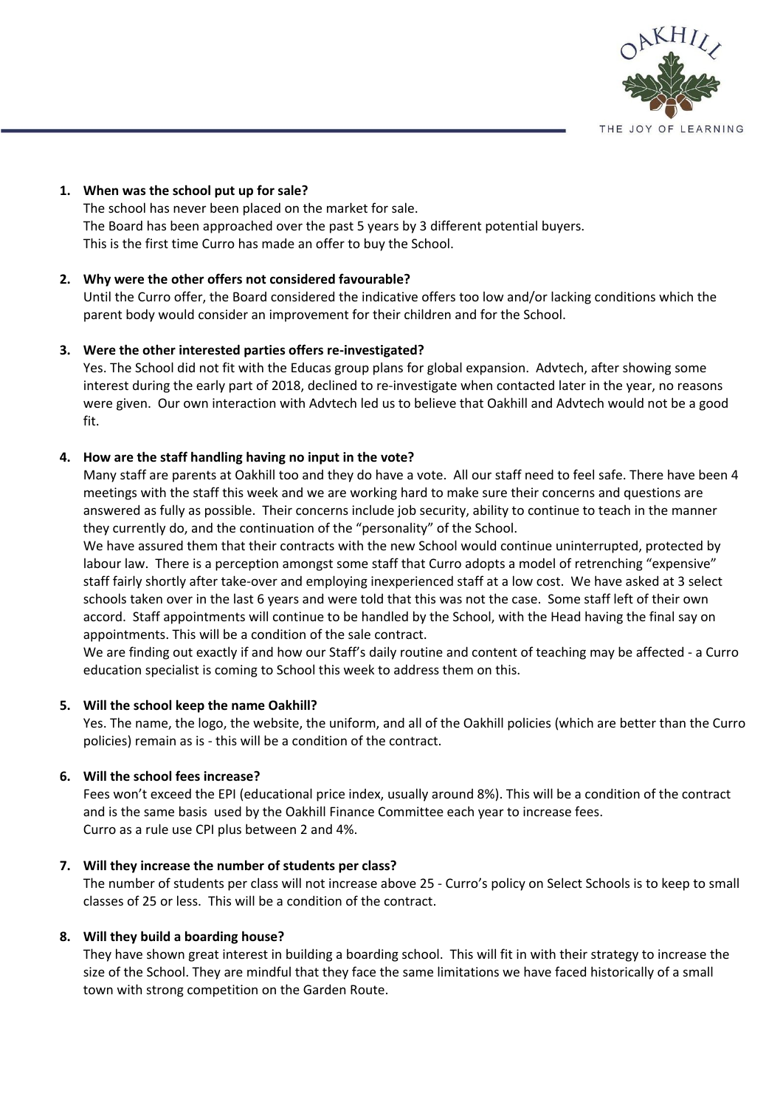

### **1. When was the school put up for sale?**

The school has never been placed on the market for sale. The Board has been approached over the past 5 years by 3 different potential buyers. This is the first time Curro has made an offer to buy the School.

## **2. Why were the other offers not considered favourable?**

Until the Curro offer, the Board considered the indicative offers too low and/or lacking conditions which the parent body would consider an improvement for their children and for the School.

### **3. Were the other interested parties offers re-investigated?**

Yes. The School did not fit with the Educas group plans for global expansion. Advtech, after showing some interest during the early part of 2018, declined to re-investigate when contacted later in the year, no reasons were given. Our own interaction with Advtech led us to believe that Oakhill and Advtech would not be a good fit.

### **4. How are the staff handling having no input in the vote?**

Many staff are parents at Oakhill too and they do have a vote. All our staff need to feel safe. There have been 4 meetings with the staff this week and we are working hard to make sure their concerns and questions are answered as fully as possible. Their concerns include job security, ability to continue to teach in the manner they currently do, and the continuation of the "personality" of the School.

We have assured them that their contracts with the new School would continue uninterrupted, protected by labour law. There is a perception amongst some staff that Curro adopts a model of retrenching "expensive" staff fairly shortly after take-over and employing inexperienced staff at a low cost. We have asked at 3 select schools taken over in the last 6 years and were told that this was not the case. Some staff left of their own accord. Staff appointments will continue to be handled by the School, with the Head having the final say on appointments. This will be a condition of the sale contract.

We are finding out exactly if and how our Staff's daily routine and content of teaching may be affected - a Curro education specialist is coming to School this week to address them on this.

#### **5. Will the school keep the name Oakhill?**

Yes. The name, the logo, the website, the uniform, and all of the Oakhill policies (which are better than the Curro policies) remain as is - this will be a condition of the contract.

#### **6. Will the school fees increase?**

Fees won't exceed the EPI (educational price index, usually around 8%). This will be a condition of the contract and is the same basis used by the Oakhill Finance Committee each year to increase fees. Curro as a rule use CPI plus between 2 and 4%.

#### **7. Will they increase the number of students per class?**

The number of students per class will not increase above 25 - Curro's policy on Select Schools is to keep to small classes of 25 or less. This will be a condition of the contract.

#### **8. Will they build a boarding house?**

They have shown great interest in building a boarding school. This will fit in with their strategy to increase the size of the School. They are mindful that they face the same limitations we have faced historically of a small town with strong competition on the Garden Route.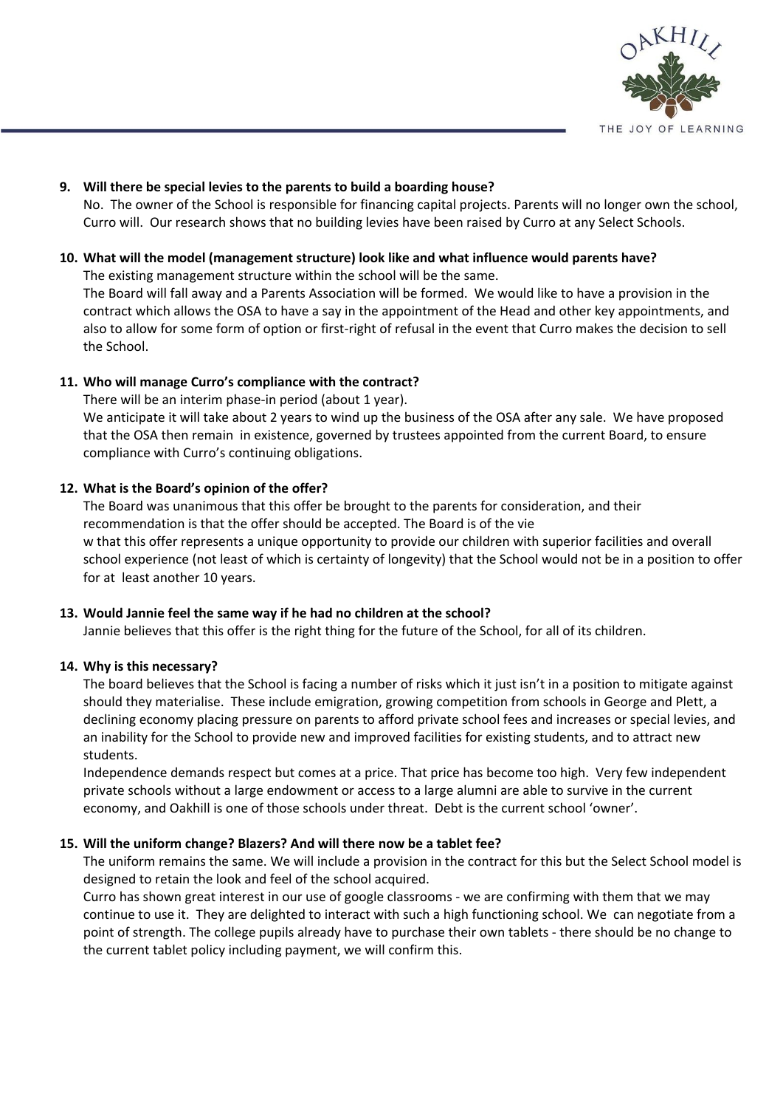

## **9. Will there be special levies to the parents to build a boarding house?**

No. The owner of the School is responsible for financing capital projects. Parents will no longer own the school, Curro will. Our research shows that no building levies have been raised by Curro at any Select Schools.

## **10. What will the model (management structure) look like and what influence would parents have?**

The existing management structure within the school will be the same.

The Board will fall away and a Parents Association will be formed. We would like to have a provision in the contract which allows the OSA to have a say in the appointment of the Head and other key appointments, and also to allow for some form of option or first-right of refusal in the event that Curro makes the decision to sell the School.

# **11. Who will manage Curro's compliance with the contract?**

There will be an interim phase-in period (about 1 year). We anticipate it will take about 2 years to wind up the business of the OSA after any sale. We have proposed that the OSA then remain in existence, governed by trustees appointed from the current Board, to ensure compliance with Curro's continuing obligations.

# **12. What is the Board's opinion of the offer?**

The Board was unanimous that this offer be brought to the parents for consideration, and their recommendation is that the offer should be accepted. The Board is of the vie w that this offer represents a unique opportunity to provide our children with superior facilities and overall school experience (not least of which is certainty of longevity) that the School would not be in a position to offer for at least another 10 years.

## **13. Would Jannie feel the same way if he had no children at the school?**

Jannie believes that this offer is the right thing for the future of the School, for all of its children.

## **14. Why is this necessary?**

The board believes that the School is facing a number of risks which it just isn't in a position to mitigate against should they materialise. These include emigration, growing competition from schools in George and Plett, a declining economy placing pressure on parents to afford private school fees and increases or special levies, and an inability for the School to provide new and improved facilities for existing students, and to attract new students.

Independence demands respect but comes at a price. That price has become too high. Very few independent private schools without a large endowment or access to a large alumni are able to survive in the current economy, and Oakhill is one of those schools under threat. Debt is the current school 'owner'.

## **15. Will the uniform change? Blazers? And will there now be a tablet fee?**

The uniform remains the same. We will include a provision in the contract for this but the Select School model is designed to retain the look and feel of the school acquired.

Curro has shown great interest in our use of google classrooms - we are confirming with them that we may continue to use it. They are delighted to interact with such a high functioning school. We can negotiate from a point of strength. The college pupils already have to purchase their own tablets - there should be no change to the current tablet policy including payment, we will confirm this.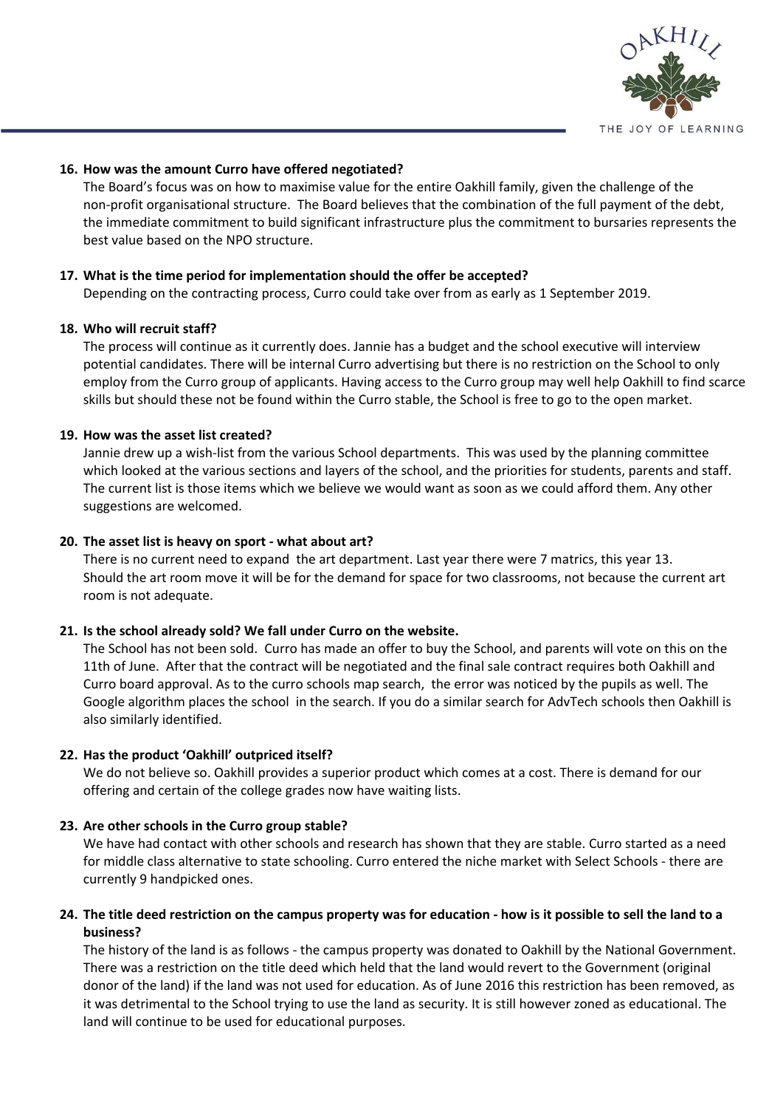

#### **16. How was the amount Curro have offered negotiated?**

The Board's focus was on how to maximise value for the entire Oakhill family, given the challenge of the non-profit organisational structure. The Board believes that the combination of the full payment of the debt, the immediate commitment to build significant infrastructure plus the commitment to bursaries represents the best value based on the NPO structure.

### **17. What is the time period for implementation should the offer be accepted?**

Depending on the contracting process, Curro could take over from as early as 1 September 2019.

### **18. Who will recruit staff?**

The process will continue as it currently does. Jannie has a budget and the school executive will interview potential candidates. There will be internal Curro advertising but there is no restriction on the School to only employ from the Curro group of applicants. Having access to the Curro group may well help Oakhill to find scarce skills but should these not be found within the Curro stable, the School is free to go to the open market.

### **19. How was the asset list created?**

Jannie drew up a wish-list from the various School departments. This was used by the planning committee which looked at the various sections and layers of the school, and the priorities for students, parents and staff. The current list is those items which we believe we would want as soon as we could afford them. Any other suggestions are welcomed.

### **20. The asset list is heavy on sport - what about art?**

There is no current need to expand the art department. Last year there were 7 matrics, this year 13. Should the art room move it will be for the demand for space for two classrooms, not because the current art room is not adequate.

#### **21. Is the school already sold? We fall under Curro on the website.**

The School has not been sold. Curro has made an offer to buy the School, and parents will vote on this on the 11th of June. After that the contract will be negotiated and the final sale contract requires both Oakhill and Curro board approval. As to the curro schools map search, the error was noticed by the pupils as well. The Google algorithm places the school in the search. If you do a similar search for AdvTech schools then Oakhill is also similarly identified.

#### **22. Has the product 'Oakhill' outpriced itself?**

We do not believe so. Oakhill provides a superior product which comes at a cost. There is demand for our offering and certain of the college grades now have waiting lists.

#### **23. Are other schools in the Curro group stable?**

We have had contact with other schools and research has shown that they are stable. Curro started as a need for middle class alternative to state schooling. Curro entered the niche market with Select Schools - there are currently 9 handpicked ones.

## 24. The title deed restriction on the campus property was for education - how is it possible to sell the land to a **business?**

The history of the land is as follows - the campus property was donated to Oakhill by the National Government. There was a restriction on the title deed which held that the land would revert to the Government (original donor of the land) if the land was not used for education. As of June 2016 this restriction has been removed, as it was detrimental to the School trying to use the land as security. It is still however zoned as educational. The land will continue to be used for educational purposes.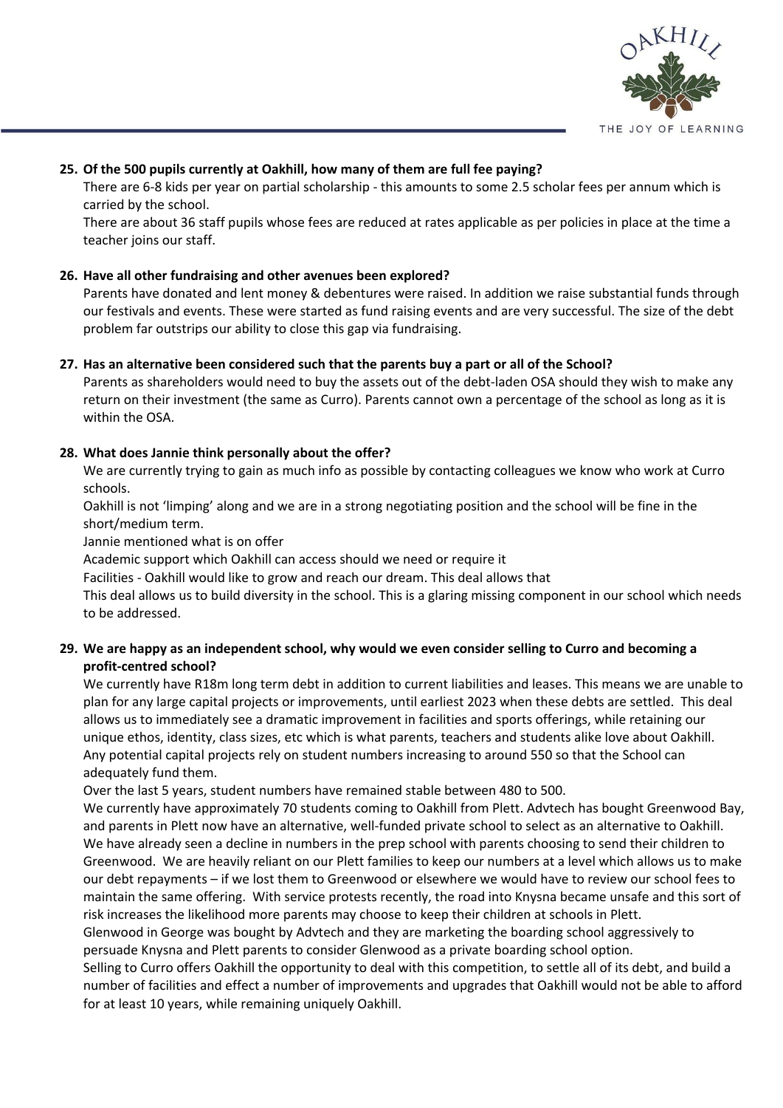

## **25. Of the 500 pupils currently at Oakhill, how many of them are full fee paying?**

There are 6-8 kids per year on partial scholarship - this amounts to some 2.5 scholar fees per annum which is carried by the school.

There are about 36 staff pupils whose fees are reduced at rates applicable as per policies in place at the time a teacher joins our staff.

## **26. Have all other fundraising and other avenues been explored?**

Parents have donated and lent money & debentures were raised. In addition we raise substantial funds through our festivals and events. These were started as fund raising events and are very successful. The size of the debt problem far outstrips our ability to close this gap via fundraising.

### **27. Has an alternative been considered such that the parents buy a part or all of the School?**

Parents as shareholders would need to buy the assets out of the debt-laden OSA should they wish to make any return on their investment (the same as Curro). Parents cannot own a percentage of the school as long as it is within the OSA.

### **28. What does Jannie think personally about the offer?**

We are currently trying to gain as much info as possible by contacting colleagues we know who work at Curro schools.

Oakhill is not 'limping' along and we are in a strong negotiating position and the school will be fine in the short/medium term.

Jannie mentioned what is on offer

Academic support which Oakhill can access should we need or require it

Facilities - Oakhill would like to grow and reach our dream. This deal allows that

This deal allows us to build diversity in the school. This is a glaring missing component in our school which needs to be addressed.

## 29. We are happy as an independent school, why would we even consider selling to Curro and becoming a **profit-centred school?**

We currently have R18m long term debt in addition to current liabilities and leases. This means we are unable to plan for any large capital projects or improvements, until earliest 2023 when these debts are settled. This deal allows us to immediately see a dramatic improvement in facilities and sports offerings, while retaining our unique ethos, identity, class sizes, etc which is what parents, teachers and students alike love about Oakhill. Any potential capital projects rely on student numbers increasing to around 550 so that the School can adequately fund them.

Over the last 5 years, student numbers have remained stable between 480 to 500.

We currently have approximately 70 students coming to Oakhill from Plett. Advtech has bought Greenwood Bay, and parents in Plett now have an alternative, well-funded private school to select as an alternative to Oakhill. We have already seen a decline in numbers in the prep school with parents choosing to send their children to Greenwood. We are heavily reliant on our Plett families to keep our numbers at a level which allows us to make our debt repayments – if we lost them to Greenwood or elsewhere we would have to review our school fees to maintain the same offering. With service protests recently, the road into Knysna became unsafe and this sort of risk increases the likelihood more parents may choose to keep their children at schools in Plett.

Glenwood in George was bought by Advtech and they are marketing the boarding school aggressively to persuade Knysna and Plett parents to consider Glenwood as a private boarding school option.

Selling to Curro offers Oakhill the opportunity to deal with this competition, to settle all of its debt, and build a number of facilities and effect a number of improvements and upgrades that Oakhill would not be able to afford for at least 10 years, while remaining uniquely Oakhill.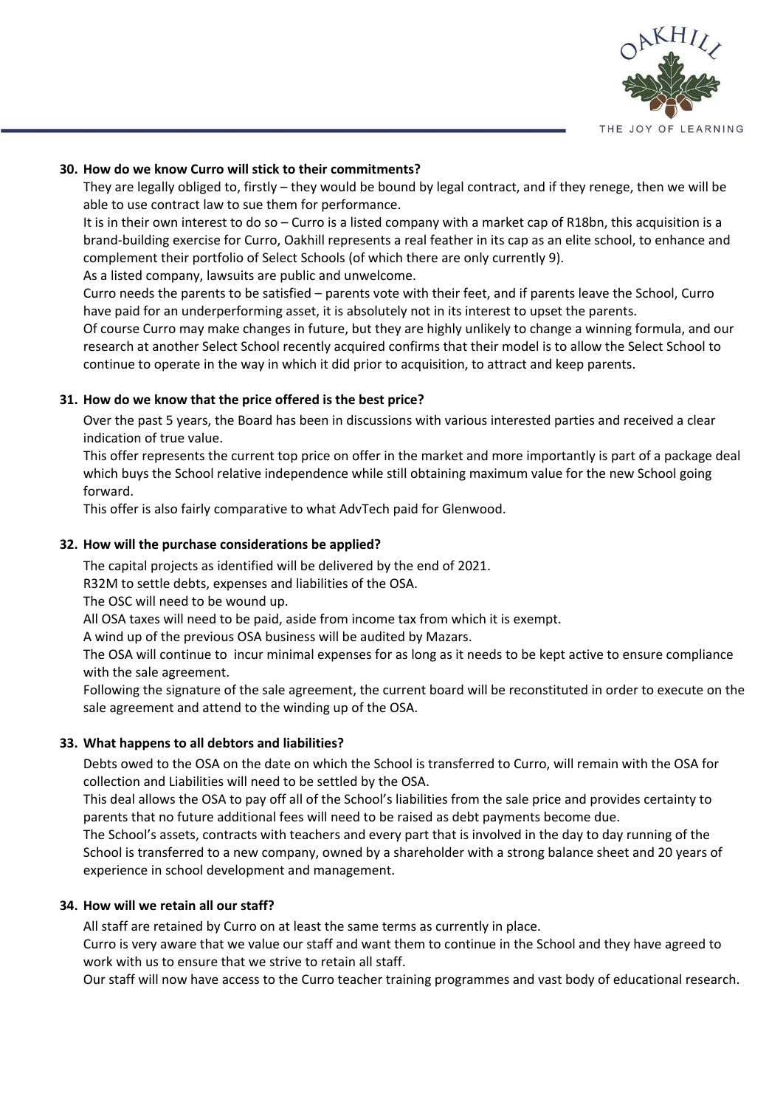

### **30. How do we know Curro will stick to their commitments?**

They are legally obliged to, firstly – they would be bound by legal contract, and if they renege, then we will be able to use contract law to sue them for performance.

It is in their own interest to do so – Curro is a listed company with a market cap of R18bn, this acquisition is a brand-building exercise for Curro, Oakhill represents a real feather in its cap as an elite school, to enhance and complement their portfolio of Select Schools (of which there are only currently 9).

As a listed company, lawsuits are public and unwelcome.

Curro needs the parents to be satisfied – parents vote with their feet, and if parents leave the School, Curro have paid for an underperforming asset, it is absolutely not in its interest to upset the parents.

Of course Curro may make changes in future, but they are highly unlikely to change a winning formula, and our research at another Select School recently acquired confirms that their model is to allow the Select School to continue to operate in the way in which it did prior to acquisition, to attract and keep parents.

### **31. How do we know that the price offered is the best price?**

Over the past 5 years, the Board has been in discussions with various interested parties and received a clear indication of true value.

This offer represents the current top price on offer in the market and more importantly is part of a package deal which buys the School relative independence while still obtaining maximum value for the new School going forward.

This offer is also fairly comparative to what AdvTech paid for Glenwood.

### **32. How will the purchase considerations be applied?**

The capital projects as identified will be delivered by the end of 2021.

R32M to settle debts, expenses and liabilities of the OSA.

The OSC will need to be wound up.

All OSA taxes will need to be paid, aside from income tax from which it is exempt.

A wind up of the previous OSA business will be audited by Mazars.

The OSA will continue to incur minimal expenses for as long as it needs to be kept active to ensure compliance with the sale agreement.

Following the signature of the sale agreement, the current board will be reconstituted in order to execute on the sale agreement and attend to the winding up of the OSA.

## **33. What happens to all debtors and liabilities?**

Debts owed to the OSA on the date on which the School is transferred to Curro, will remain with the OSA for collection and Liabilities will need to be settled by the OSA.

This deal allows the OSA to pay off all of the School's liabilities from the sale price and provides certainty to parents that no future additional fees will need to be raised as debt payments become due.

The School's assets, contracts with teachers and every part that is involved in the day to day running of the School is transferred to a new company, owned by a shareholder with a strong balance sheet and 20 years of experience in school development and management.

#### **34. How will we retain all our staff?**

All staff are retained by Curro on at least the same terms as currently in place.

Curro is very aware that we value our staff and want them to continue in the School and they have agreed to work with us to ensure that we strive to retain all staff.

Our staff will now have access to the Curro teacher training programmes and vast body of educational research.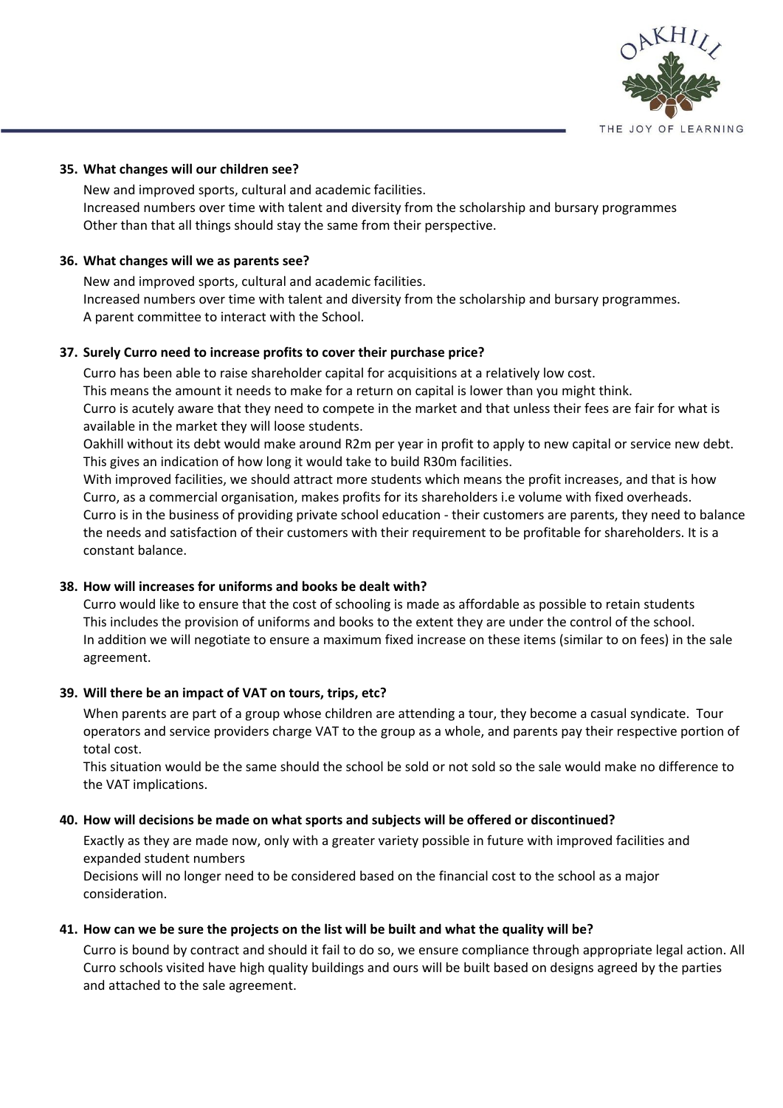

#### **35. What changes will our children see?**

New and improved sports, cultural and academic facilities. Increased numbers over time with talent and diversity from the scholarship and bursary programmes Other than that all things should stay the same from their perspective.

## **36. What changes will we as parents see?**

New and improved sports, cultural and academic facilities. Increased numbers over time with talent and diversity from the scholarship and bursary programmes. A parent committee to interact with the School.

### **37. Surely Curro need to increase profits to cover their purchase price?**

Curro has been able to raise shareholder capital for acquisitions at a relatively low cost. This means the amount it needs to make for a return on capital is lower than you might think. Curro is acutely aware that they need to compete in the market and that unless their fees are fair for what is available in the market they will loose students.

Oakhill without its debt would make around R2m per year in profit to apply to new capital or service new debt. This gives an indication of how long it would take to build R30m facilities.

With improved facilities, we should attract more students which means the profit increases, and that is how Curro, as a commercial organisation, makes profits for its shareholders i.e volume with fixed overheads. Curro is in the business of providing private school education - their customers are parents, they need to balance the needs and satisfaction of their customers with their requirement to be profitable for shareholders. It is a constant balance.

## **38. How will increases for uniforms and books be dealt with?**

Curro would like to ensure that the cost of schooling is made as affordable as possible to retain students This includes the provision of uniforms and books to the extent they are under the control of the school. In addition we will negotiate to ensure a maximum fixed increase on these items (similar to on fees) in the sale agreement.

## **39. Will there be an impact of VAT on tours, trips, etc?**

When parents are part of a group whose children are attending a tour, they become a casual syndicate. Tour operators and service providers charge VAT to the group as a whole, and parents pay their respective portion of total cost.

This situation would be the same should the school be sold or not sold so the sale would make no difference to the VAT implications.

#### **40. How will decisions be made on what sports and subjects will be offered or discontinued?**

Exactly as they are made now, only with a greater variety possible in future with improved facilities and expanded student numbers

Decisions will no longer need to be considered based on the financial cost to the school as a major consideration.

## 41. How can we be sure the projects on the list will be built and what the quality will be?

Curro is bound by contract and should it fail to do so, we ensure compliance through appropriate legal action. All Curro schools visited have high quality buildings and ours will be built based on designs agreed by the parties and attached to the sale agreement.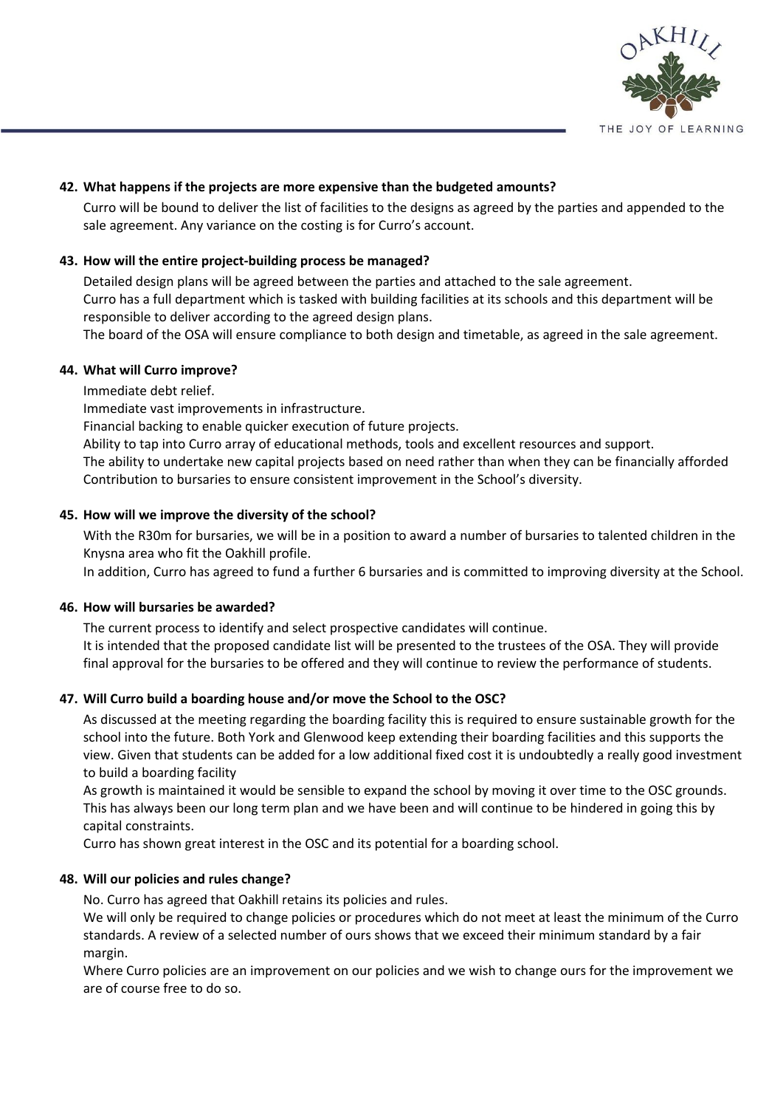

### **42. What happens if the projects are more expensive than the budgeted amounts?**

Curro will be bound to deliver the list of facilities to the designs as agreed by the parties and appended to the sale agreement. Any variance on the costing is for Curro's account.

### **43. How will the entire project-building process be managed?**

Detailed design plans will be agreed between the parties and attached to the sale agreement. Curro has a full department which is tasked with building facilities at its schools and this department will be responsible to deliver according to the agreed design plans.

The board of the OSA will ensure compliance to both design and timetable, as agreed in the sale agreement.

#### **44. What will Curro improve?**

Immediate debt relief.

Immediate vast improvements in infrastructure.

Financial backing to enable quicker execution of future projects.

Ability to tap into Curro array of educational methods, tools and excellent resources and support. The ability to undertake new capital projects based on need rather than when they can be financially afforded Contribution to bursaries to ensure consistent improvement in the School's diversity.

#### **45. How will we improve the diversity of the school?**

With the R30m for bursaries, we will be in a position to award a number of bursaries to talented children in the Knysna area who fit the Oakhill profile.

In addition, Curro has agreed to fund a further 6 bursaries and is committed to improving diversity at the School.

#### **46. How will bursaries be awarded?**

The current process to identify and select prospective candidates will continue. It is intended that the proposed candidate list will be presented to the trustees of the OSA. They will provide final approval for the bursaries to be offered and they will continue to review the performance of students.

#### **47. Will Curro build a boarding house and/or move the School to the OSC?**

As discussed at the meeting regarding the boarding facility this is required to ensure sustainable growth for the school into the future. Both York and Glenwood keep extending their boarding facilities and this supports the view. Given that students can be added for a low additional fixed cost it is undoubtedly a really good investment to build a boarding facility

As growth is maintained it would be sensible to expand the school by moving it over time to the OSC grounds. This has always been our long term plan and we have been and will continue to be hindered in going this by capital constraints.

Curro has shown great interest in the OSC and its potential for a boarding school.

#### **48. Will our policies and rules change?**

No. Curro has agreed that Oakhill retains its policies and rules.

We will only be required to change policies or procedures which do not meet at least the minimum of the Curro standards. A review of a selected number of ours shows that we exceed their minimum standard by a fair margin.

Where Curro policies are an improvement on our policies and we wish to change ours for the improvement we are of course free to do so.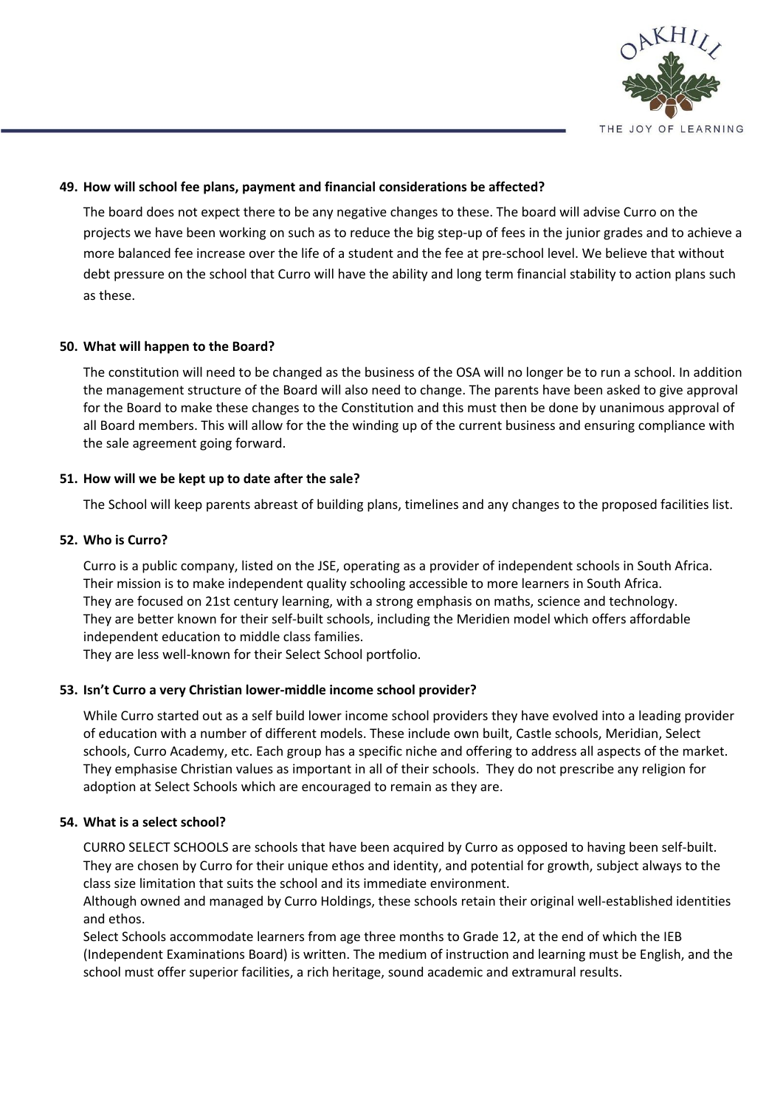

## **49. How will school fee plans, payment and financial considerations be affected?**

The board does not expect there to be any negative changes to these. The board will advise Curro on the projects we have been working on such as to reduce the big step-up of fees in the junior grades and to achieve a more balanced fee increase over the life of a student and the fee at pre-school level. We believe that without debt pressure on the school that Curro will have the ability and long term financial stability to action plans such as these.

## **50. What will happen to the Board?**

The constitution will need to be changed as the business of the OSA will no longer be to run a school. In addition the management structure of the Board will also need to change. The parents have been asked to give approval for the Board to make these changes to the Constitution and this must then be done by unanimous approval of all Board members. This will allow for the the winding up of the current business and ensuring compliance with the sale agreement going forward.

## **51. How will we be kept up to date after the sale?**

The School will keep parents abreast of building plans, timelines and any changes to the proposed facilities list.

### **52. Who is Curro?**

Curro is a public company, listed on the JSE, operating as a provider of independent schools in South Africa. Their mission is to make independent quality schooling accessible to more learners in South Africa. They are focused on 21st century learning, with a strong emphasis on maths, science and technology. They are better known for their self-built schools, including the Meridien model which offers affordable independent education to middle class families.

They are less well-known for their Select School portfolio.

## **53. Isn't Curro a very Christian lower-middle income school provider?**

While Curro started out as a self build lower income school providers they have evolved into a leading provider of education with a number of different models. These include own built, Castle schools, Meridian, Select schools, Curro Academy, etc. Each group has a specific niche and offering to address all aspects of the market. They emphasise Christian values as important in all of their schools. They do not prescribe any religion for adoption at Select Schools which are encouraged to remain as they are.

#### **54. What is a select school?**

CURRO SELECT SCHOOLS are schools that have been acquired by Curro as opposed to having been self-built. They are chosen by Curro for their unique ethos and identity, and potential for growth, subject always to the class size limitation that suits the school and its immediate environment.

Although owned and managed by Curro Holdings, these schools retain their original well-established identities and ethos.

Select Schools accommodate learners from age three months to Grade 12, at the end of which the IEB (Independent Examinations Board) is written. The medium of instruction and learning must be English, and the school must offer superior facilities, a rich heritage, sound academic and extramural results.